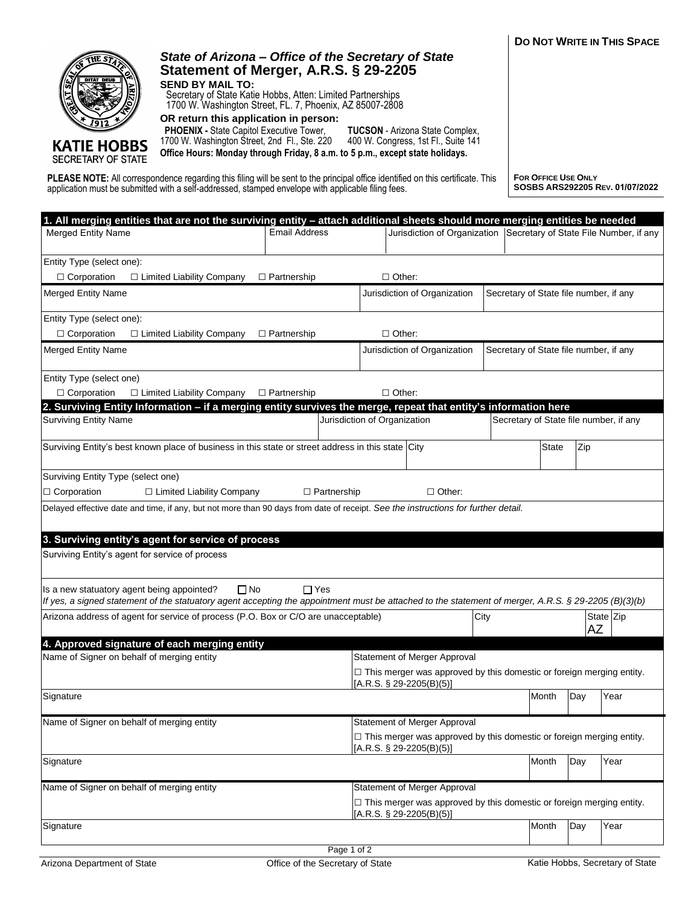

SECRETARY OF STATE

## *State of Arizona – Office of the Secretary of State* **Statement of Merger, A.R.S. § 29-2205 SEND BY MAIL TO:**

Secretary of State Katie Hobbs, Atten: Limited Partnerships 1700 W. Washington Street, FL. 7, Phoenix, AZ 85007-2808

**OR return this application in person:**

 **PHOENIX -** State Capitol Executive Tower,

1700 W. Washington Street, 2nd Fl., Ste. 220 400 W. Congress, 1st Fl., Suite 141 **TUCSON** - Arizona State Complex, **Office Hours: Monday through Friday, 8 a.m. to 5 p.m., except state holidays.**

**PLEASE NOTE:** All correspondence regarding this filing will be sent to the principal office identified on this certificate. This application must be submitted with a self-addressed, stamped envelope with applicable filing fees.

**FOR OFFICE USE ONLY SOSBS ARS292205 REV. 01/07/2022**

| 1. All merging entities that are not the surviving entity - attach additional sheets should more merging entities be needed                                                                                                   |             |                                                                                                           |                                                                                                            |      |                                        |           |                                        |  |  |
|-------------------------------------------------------------------------------------------------------------------------------------------------------------------------------------------------------------------------------|-------------|-----------------------------------------------------------------------------------------------------------|------------------------------------------------------------------------------------------------------------|------|----------------------------------------|-----------|----------------------------------------|--|--|
| <b>Email Address</b><br><b>Merged Entity Name</b>                                                                                                                                                                             |             |                                                                                                           | Jurisdiction of Organization                                                                               |      |                                        |           | Secretary of State File Number, if any |  |  |
| Entity Type (select one):                                                                                                                                                                                                     |             |                                                                                                           |                                                                                                            |      |                                        |           |                                        |  |  |
| $\Box$ Corporation<br>□ Limited Liability Company<br>$\Box$ Other:<br>$\Box$ Partnership                                                                                                                                      |             |                                                                                                           |                                                                                                            |      |                                        |           |                                        |  |  |
| <b>Merged Entity Name</b>                                                                                                                                                                                                     |             | Jurisdiction of Organization<br>Secretary of State file number, if any                                    |                                                                                                            |      |                                        |           |                                        |  |  |
| Entity Type (select one):                                                                                                                                                                                                     |             |                                                                                                           |                                                                                                            |      |                                        |           |                                        |  |  |
| $\Box$ Corporation<br>$\Box$ Limited Liability Company<br>$\Box$ Partnership                                                                                                                                                  |             | $\Box$ Other:                                                                                             |                                                                                                            |      |                                        |           |                                        |  |  |
| <b>Merged Entity Name</b>                                                                                                                                                                                                     |             |                                                                                                           | Jurisdiction of Organization<br>Secretary of State file number, if any                                     |      |                                        |           |                                        |  |  |
| Entity Type (select one)                                                                                                                                                                                                      |             |                                                                                                           |                                                                                                            |      |                                        |           |                                        |  |  |
| $\Box$ Corporation<br>□ Limited Liability Company<br>□ Partnership                                                                                                                                                            |             | $\Box$ Other:                                                                                             |                                                                                                            |      |                                        |           |                                        |  |  |
| 2. Surviving Entity Information - if a merging entity survives the merge, repeat that entity's information here                                                                                                               |             |                                                                                                           |                                                                                                            |      |                                        |           |                                        |  |  |
| <b>Surviving Entity Name</b>                                                                                                                                                                                                  |             | Jurisdiction of Organization                                                                              |                                                                                                            |      | Secretary of State file number, if any |           |                                        |  |  |
| Surviving Entity's best known place of business in this state or street address in this state City                                                                                                                            |             |                                                                                                           |                                                                                                            |      | <b>State</b>                           | Zip       |                                        |  |  |
| Surviving Entity Type (select one)                                                                                                                                                                                            |             |                                                                                                           |                                                                                                            |      |                                        |           |                                        |  |  |
| $\Box$ Corporation<br>□ Other:<br>$\Box$ Limited Liability Company<br>$\Box$ Partnership                                                                                                                                      |             |                                                                                                           |                                                                                                            |      |                                        |           |                                        |  |  |
| Delayed effective date and time, if any, but not more than 90 days from date of receipt. See the instructions for further detail.                                                                                             |             |                                                                                                           |                                                                                                            |      |                                        |           |                                        |  |  |
|                                                                                                                                                                                                                               |             |                                                                                                           |                                                                                                            |      |                                        |           |                                        |  |  |
| 3. Surviving entity's agent for service of process                                                                                                                                                                            |             |                                                                                                           |                                                                                                            |      |                                        |           |                                        |  |  |
| Surviving Entity's agent for service of process                                                                                                                                                                               |             |                                                                                                           |                                                                                                            |      |                                        |           |                                        |  |  |
|                                                                                                                                                                                                                               |             |                                                                                                           |                                                                                                            |      |                                        |           |                                        |  |  |
|                                                                                                                                                                                                                               |             |                                                                                                           |                                                                                                            |      |                                        |           |                                        |  |  |
| $\Box$ No<br>Is a new statuatory agent being appointed?<br>$\Box$ Yes<br>If yes, a signed statement of the statuatory agent accepting the appointment must be attached to the statement of merger, A.R.S. § 29-2205 (B)(3)(b) |             |                                                                                                           |                                                                                                            |      |                                        |           |                                        |  |  |
|                                                                                                                                                                                                                               |             |                                                                                                           |                                                                                                            |      |                                        |           |                                        |  |  |
| Arizona address of agent for service of process (P.O. Box or C/O are unacceptable)                                                                                                                                            |             |                                                                                                           |                                                                                                            | City |                                        | <b>AZ</b> | State Zip                              |  |  |
| 4. Approved signature of each merging entity                                                                                                                                                                                  |             |                                                                                                           |                                                                                                            |      |                                        |           |                                        |  |  |
| Name of Signer on behalf of merging entity                                                                                                                                                                                    |             |                                                                                                           | <b>Statement of Merger Approval</b>                                                                        |      |                                        |           |                                        |  |  |
|                                                                                                                                                                                                                               |             |                                                                                                           | $\Box$ This merger was approved by this domestic or foreign merging entity.<br>[A.R.S. $\S$ 29-2205(B)(5)] |      |                                        |           |                                        |  |  |
| Signature                                                                                                                                                                                                                     |             |                                                                                                           |                                                                                                            |      | Month                                  | Day       | Year                                   |  |  |
|                                                                                                                                                                                                                               |             |                                                                                                           |                                                                                                            |      |                                        |           |                                        |  |  |
| Name of Signer on behalf of merging entity                                                                                                                                                                                    |             |                                                                                                           | Statement of Merger Approval                                                                               |      |                                        |           |                                        |  |  |
|                                                                                                                                                                                                                               |             |                                                                                                           | $\Box$ This merger was approved by this domestic or foreign merging entity.                                |      |                                        |           |                                        |  |  |
|                                                                                                                                                                                                                               |             |                                                                                                           | $[A.R.S. § 29-2205(B)(5)]$                                                                                 |      |                                        |           |                                        |  |  |
| Signature                                                                                                                                                                                                                     |             |                                                                                                           |                                                                                                            |      | Month                                  | Day       | Year                                   |  |  |
| Name of Signer on behalf of merging entity                                                                                                                                                                                    |             |                                                                                                           | Statement of Merger Approval                                                                               |      |                                        |           |                                        |  |  |
|                                                                                                                                                                                                                               |             | $\Box$ This merger was approved by this domestic or foreign merging entity.<br>$[A.R.S. § 29-2205(B)(5)]$ |                                                                                                            |      |                                        |           |                                        |  |  |
| Signature                                                                                                                                                                                                                     |             |                                                                                                           |                                                                                                            |      | Month                                  | Day       | Year                                   |  |  |
|                                                                                                                                                                                                                               |             |                                                                                                           |                                                                                                            |      |                                        |           |                                        |  |  |
|                                                                                                                                                                                                                               | Page 1 of 2 |                                                                                                           |                                                                                                            |      |                                        |           |                                        |  |  |